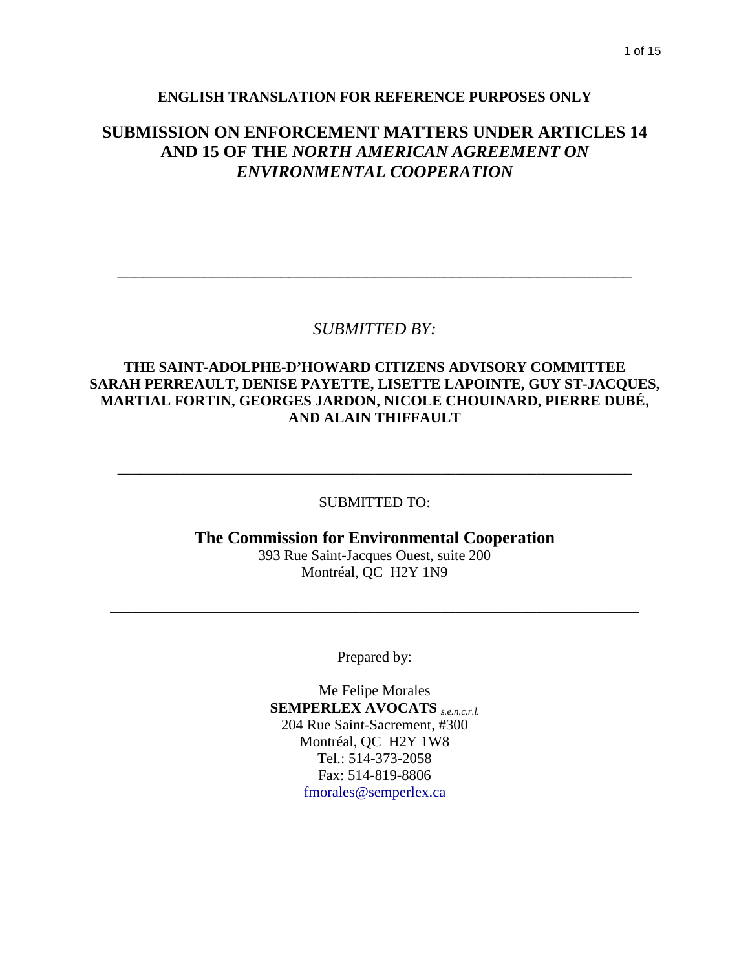### **ENGLISH TRANSLATION FOR REFERENCE PURPOSES ONLY**

# **SUBMISSION ON ENFORCEMENT MATTERS UNDER ARTICLES 14 AND 15 OF THE** *NORTH AMERICAN AGREEMENT ON ENVIRONMENTAL COOPERATION*

## *SUBMITTED BY:*

\_\_\_\_\_\_\_\_\_\_\_\_\_\_\_\_\_\_\_\_\_\_\_\_\_\_\_\_\_\_\_\_\_\_\_\_\_\_\_\_\_\_\_\_\_\_\_\_\_\_\_\_\_\_\_\_\_\_\_\_

## **THE SAINT-ADOLPHE-D'HOWARD CITIZENS ADVISORY COMMITTEE SARAH PERREAULT, DENISE PAYETTE, LISETTE LAPOINTE, GUY ST-JACQUES, MARTIAL FORTIN, GEORGES JARDON, NICOLE CHOUINARD, PIERRE DUBÉ, AND ALAIN THIFFAULT**

#### SUBMITTED TO:

\_\_\_\_\_\_\_\_\_\_\_\_\_\_\_\_\_\_\_\_\_\_\_\_\_\_\_\_\_\_\_\_\_\_\_\_\_\_\_\_\_\_\_\_\_\_\_\_\_\_\_\_\_\_\_\_\_\_\_\_\_\_\_\_\_\_\_\_\_\_

# **The Commission for Environmental Cooperation** 393 Rue Saint-Jacques Ouest, suite 200 Montréal, QC H2Y 1N9

Prepared by:

\_\_\_\_\_\_\_\_\_\_\_\_\_\_\_\_\_\_\_\_\_\_\_\_\_\_\_\_\_\_\_\_\_\_\_\_\_\_\_\_\_\_\_\_\_\_\_\_\_\_\_\_\_\_\_\_\_\_\_\_\_\_\_\_\_\_\_\_\_\_\_\_

Me Felipe Morales **SEMPERLEX AVOCATS** *s.e.n.c.r.l.* 204 Rue Saint-Sacrement, #300 Montréal, QC H2Y 1W8 Tel.: 514-373-2058 Fax: 514-819-8806 [fmorales@semperlex.ca](mailto:fmorales@semperlex.ca)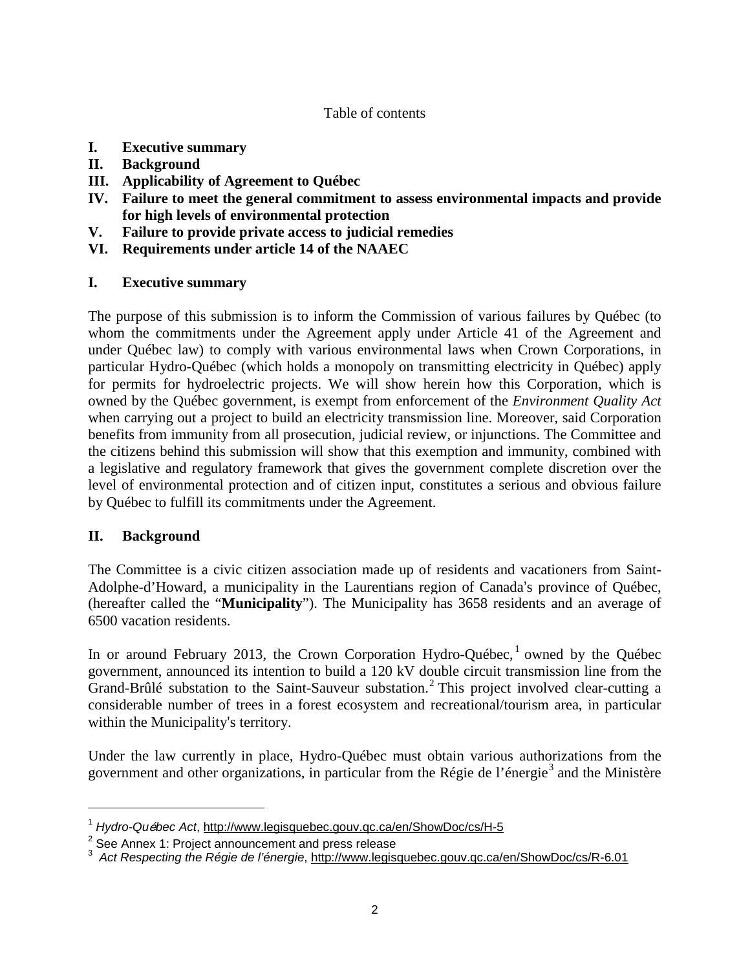#### Table of contents

- **I. Executive summary**
- **II. Background**
- **III. Applicability of Agreement to Québec**
- **IV. Failure to meet the general commitment to assess environmental impacts and provide for high levels of environmental protection**
- **V. Failure to provide private access to judicial remedies**
- **VI. Requirements under article 14 of the NAAEC**

### **I. Executive summary**

The purpose of this submission is to inform the Commission of various failures by Québec (to whom the commitments under the Agreement apply under Article 41 of the Agreement and under Québec law) to comply with various environmental laws when Crown Corporations, in particular Hydro-Québec (which holds a monopoly on transmitting electricity in Québec) apply for permits for hydroelectric projects. We will show herein how this Corporation, which is owned by the Québec government, is exempt from enforcement of the *Environment Quality Act* when carrying out a project to build an electricity transmission line. Moreover, said Corporation benefits from immunity from all prosecution, judicial review, or injunctions. The Committee and the citizens behind this submission will show that this exemption and immunity, combined with a legislative and regulatory framework that gives the government complete discretion over the level of environmental protection and of citizen input, constitutes a serious and obvious failure by Québec to fulfill its commitments under the Agreement.

## **II. Background**

 $\overline{a}$ 

The Committee is a civic citizen association made up of residents and vacationers from Saint-Adolphe-d'Howard, a municipality in the Laurentians region of Canada's province of Québec, (hereafter called the "**Municipality**"). The Municipality has 3658 residents and an average of 6500 vacation residents.

In or around February 20[1](#page-1-0)3, the Crown Corporation Hydro-Québec,<sup>1</sup> owned by the Québec government, announced its intention to build a 120 kV double circuit transmission line from the Grand-Brûlé substation to the Saint-Sauveur substation.<sup>[2](#page-1-1)</sup> This project involved clear-cutting a considerable number of trees in a forest ecosystem and recreational/tourism area, in particular within the Municipality's territory.

Under the law currently in place, Hydro-Québec must obtain various authorizations from the government and other organizations, in particular from the Régie de l'énergie<sup>[3](#page-1-2)</sup> and the Ministère

<sup>1</sup> *Hydro-Qu*é*bec Act*, <http://www.legisquebec.gouv.qc.ca/en/ShowDoc/cs/H-5>

<span id="page-1-1"></span><span id="page-1-0"></span><sup>&</sup>lt;sup>2</sup> See Annex 1: Project announcement and press release

<span id="page-1-2"></span><sup>3</sup> *Act Respecting the Régie de l'énergie*, <http://www.legisquebec.gouv.qc.ca/en/ShowDoc/cs/R-6.01>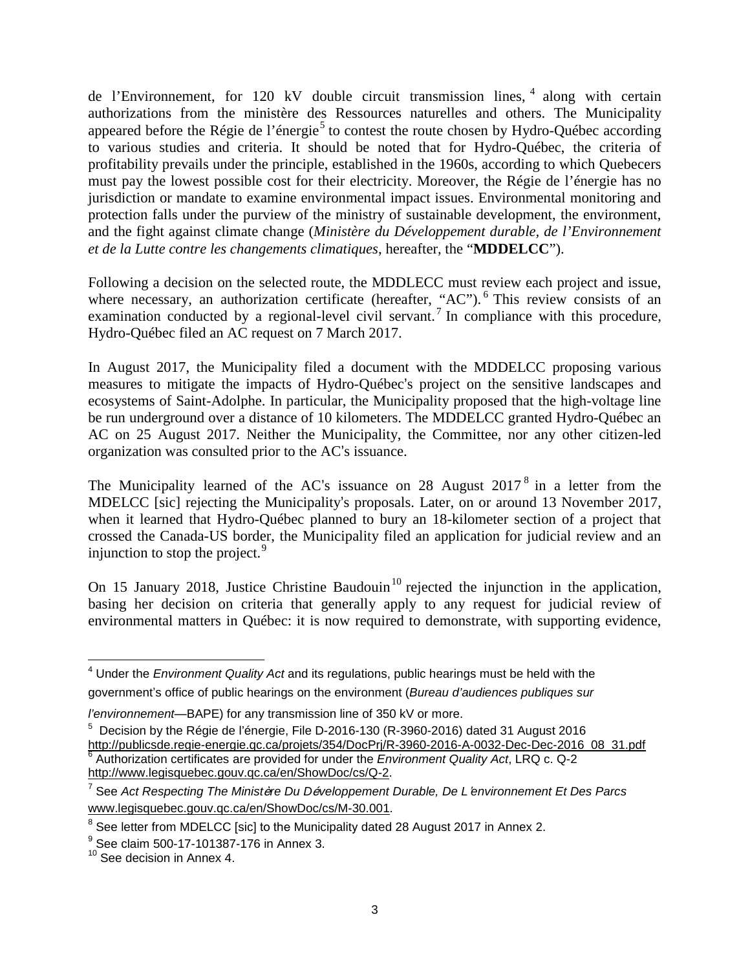de l'Environnement, for 120 kV double circuit transmission lines, [4](#page-2-0) along with certain authorizations from the ministère des Ressources naturelles and others. The Municipality appeared before the Régie de l'énergie<sup>[5](#page-2-1)</sup> to contest the route chosen by Hydro-Québec according to various studies and criteria. It should be noted that for Hydro-Québec, the criteria of profitability prevails under the principle, established in the 1960s, according to which Quebecers must pay the lowest possible cost for their electricity. Moreover, the Régie de l'énergie has no jurisdiction or mandate to examine environmental impact issues. Environmental monitoring and protection falls under the purview of the ministry of sustainable development, the environment, and the fight against climate change (*Ministère du Développement durable, de l'Environnement et de la Lutte contre les changements climatiques*, hereafter, the "**MDDELCC**").

Following a decision on the selected route, the MDDLECC must review each project and issue, where necessary, an authorization certificate (hereafter, "AC").<sup>[6](#page-2-2)</sup> This review consists of an examination conducted by a regional-level civil servant.<sup>[7](#page-2-3)</sup> In compliance with this procedure, Hydro-Québec filed an AC request on 7 March 2017.

In August 2017, the Municipality filed a document with the MDDELCC proposing various measures to mitigate the impacts of Hydro-Québec's project on the sensitive landscapes and ecosystems of Saint-Adolphe. In particular, the Municipality proposed that the high-voltage line be run underground over a distance of 10 kilometers. The MDDELCC granted Hydro-Québec an AC on 25 August 2017. Neither the Municipality, the Committee, nor any other citizen-led organization was consulted prior to the AC's issuance.

The Municipality learned of the AC's issuance on 2[8](#page-2-4) August  $2017<sup>8</sup>$  in a letter from the MDELCC [sic] rejecting the Municipality's proposals. Later, on or around 13 November 2017, when it learned that Hydro-Québec planned to bury an 18-kilometer section of a project that crossed the Canada-US border, the Municipality filed an application for judicial review and an injunction to stop the project.<sup>[9](#page-2-5)</sup>

On 15 January 2018, Justice Christine Baudouin<sup>[10](#page-2-6)</sup> rejected the injunction in the application, basing her decision on criteria that generally apply to any request for judicial review of environmental matters in Québec: it is now required to demonstrate, with supporting evidence,

<span id="page-2-0"></span><sup>4</sup> Under the *Environment Quality Act* and its regulations, public hearings must be held with the government's office of public hearings on the environment (*Bureau d'audiences publiques sur*

*l'environnement*—BAPE) for any transmission line of 350 kV or more.

<span id="page-2-2"></span><span id="page-2-1"></span> $^5$  Decision by the Régie de l'énergie, File D-2016-130 (R-3960-2016) dated 31 August 2016 [http://publicsde.regie-energie.qc.ca/projets/354/DocPrj/R-3960-2016-A-0032-Dec-Dec-2016\\_08\\_31.pdf](http://publicsde.regie-energie.qc.ca/projets/354/DocPrj/R-3960-2016-A-0032-Dec-Dec-2016_08_31.pdf) <sup>6</sup> Authorization certificates are provided for under the *Environment Quality Act*, LRQ c. Q-2 [http://www.legisquebec.gouv.qc.ca/en/ShowDoc/cs/Q-2.](http://www.legisquebec.gouv.qc.ca/en/ShowDoc/cs/Q-2)

<span id="page-2-3"></span><sup>7</sup> See *Act Respecting The Minist*è*re Du D*é*veloppement Durable, De L*'*environnement Et Des Parcs* [www.legisquebec.gouv.qc.ca/en/ShowDoc/cs/M-30.001.](http://www.legisquebec.gouv.qc.ca/en/ShowDoc/cs/M-30.001)

<span id="page-2-4"></span><sup>&</sup>lt;sup>8</sup> See letter from MDELCC [sic] to the Municipality dated 28 August 2017 in Annex 2.

<span id="page-2-6"></span><span id="page-2-5"></span><sup>&</sup>lt;sup>9</sup> See claim 500-17-101387-176 in Annex 3.<br><sup>10</sup> See decision in Annex 4.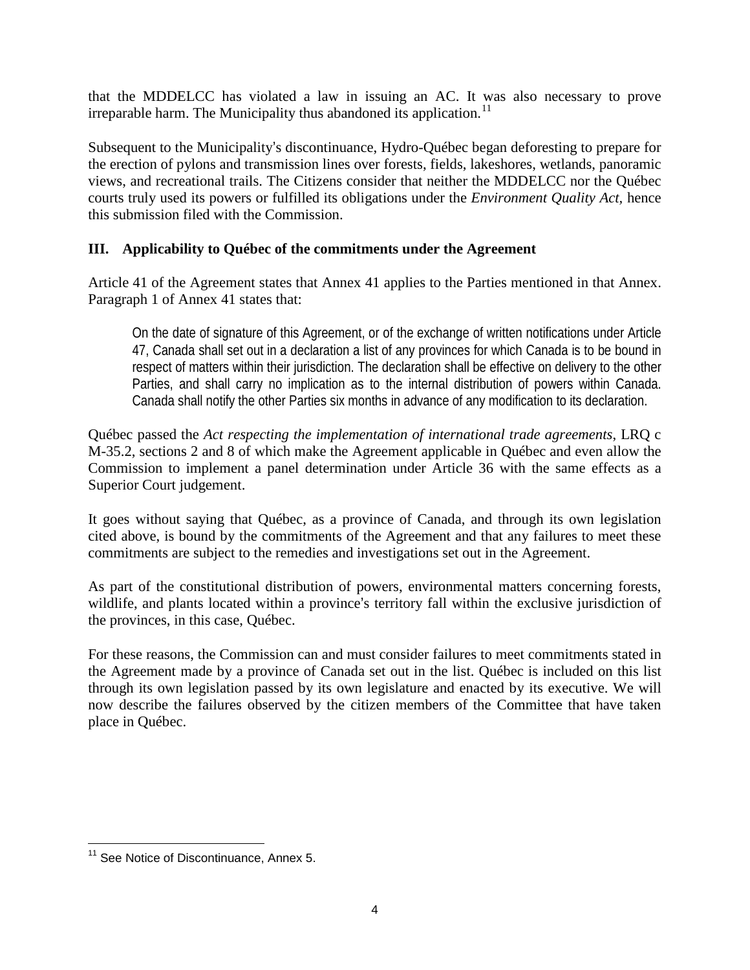that the MDDELCC has violated a law in issuing an AC. It was also necessary to prove irreparable harm. The Municipality thus abandoned its application.<sup>[11](#page-3-0)</sup>

Subsequent to the Municipality's discontinuance, Hydro-Québec began deforesting to prepare for the erection of pylons and transmission lines over forests, fields, lakeshores, wetlands, panoramic views, and recreational trails. The Citizens consider that neither the MDDELCC nor the Québec courts truly used its powers or fulfilled its obligations under the *Environment Quality Act,* hence this submission filed with the Commission.

### **III. Applicability to Québec of the commitments under the Agreement**

Article 41 of the Agreement states that Annex 41 applies to the Parties mentioned in that Annex. Paragraph 1 of Annex 41 states that:

On the date of signature of this Agreement, or of the exchange of written notifications under Article 47, Canada shall set out in a declaration a list of any provinces for which Canada is to be bound in respect of matters within their jurisdiction. The declaration shall be effective on delivery to the other Parties, and shall carry no implication as to the internal distribution of powers within Canada. Canada shall notify the other Parties six months in advance of any modification to its declaration.

Québec passed the *Act respecting the implementation of international trade agreements*, LRQ c M-35.2, sections 2 and 8 of which make the Agreement applicable in Québec and even allow the Commission to implement a panel determination under Article 36 with the same effects as a Superior Court judgement.

It goes without saying that Québec, as a province of Canada, and through its own legislation cited above, is bound by the commitments of the Agreement and that any failures to meet these commitments are subject to the remedies and investigations set out in the Agreement.

As part of the constitutional distribution of powers, environmental matters concerning forests, wildlife, and plants located within a province's territory fall within the exclusive jurisdiction of the provinces, in this case, Québec.

For these reasons, the Commission can and must consider failures to meet commitments stated in the Agreement made by a province of Canada set out in the list. Québec is included on this list through its own legislation passed by its own legislature and enacted by its executive. We will now describe the failures observed by the citizen members of the Committee that have taken place in Québec.

<span id="page-3-0"></span><sup>&</sup>lt;sup>11</sup> See Notice of Discontinuance, Annex 5.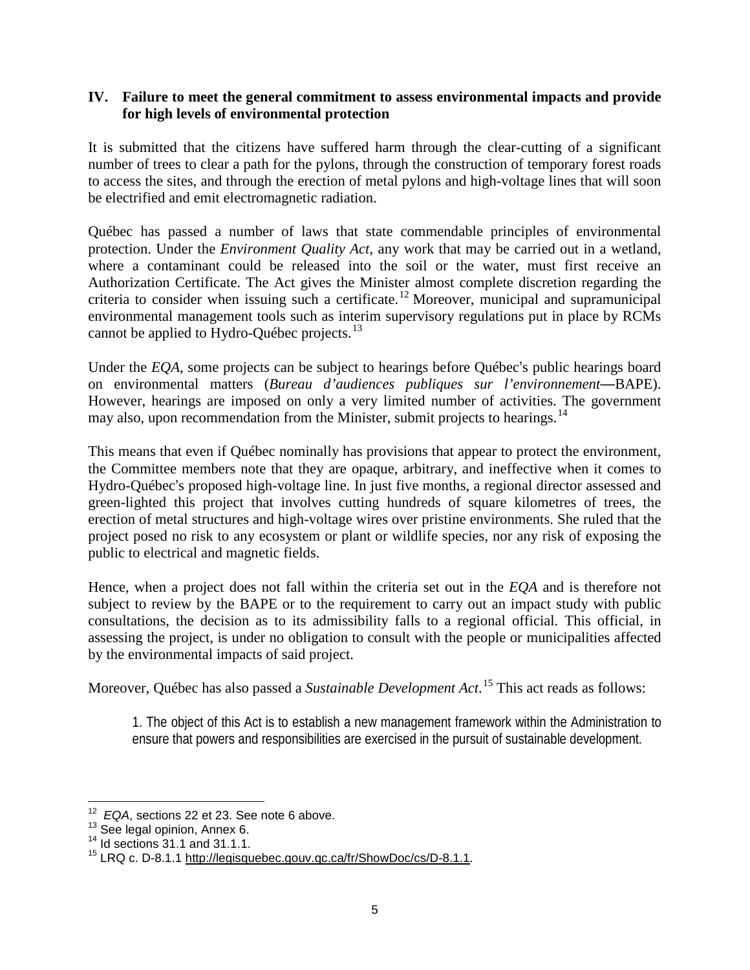#### **IV. Failure to meet the general commitment to assess environmental impacts and provide for high levels of environmental protection**

It is submitted that the citizens have suffered harm through the clear-cutting of a significant number of trees to clear a path for the pylons, through the construction of temporary forest roads to access the sites, and through the erection of metal pylons and high-voltage lines that will soon be electrified and emit electromagnetic radiation.

Québec has passed a number of laws that state commendable principles of environmental protection. Under the *Environment Quality Act*, any work that may be carried out in a wetland, where a contaminant could be released into the soil or the water, must first receive an Authorization Certificate. The Act gives the Minister almost complete discretion regarding the criteria to consider when issuing such a certificate.<sup>[12](#page-4-0)</sup> Moreover, municipal and supramunicipal environmental management tools such as interim supervisory regulations put in place by RCMs cannot be applied to Hydro-Québec projects. $13$ 

Under the *EQA*, some projects can be subject to hearings before Québec's public hearings board on environmental matters (*Bureau d'audiences publiques sur l'environnement*—BAPE). However, hearings are imposed on only a very limited number of activities. The government may also, upon recommendation from the Minister, submit projects to hearings.<sup>[14](#page-4-2)</sup>

This means that even if Québec nominally has provisions that appear to protect the environment, the Committee members note that they are opaque, arbitrary, and ineffective when it comes to Hydro-Québec's proposed high-voltage line. In just five months, a regional director assessed and green-lighted this project that involves cutting hundreds of square kilometres of trees, the erection of metal structures and high-voltage wires over pristine environments. She ruled that the project posed no risk to any ecosystem or plant or wildlife species, nor any risk of exposing the public to electrical and magnetic fields.

Hence, when a project does not fall within the criteria set out in the *EQA* and is therefore not subject to review by the BAPE or to the requirement to carry out an impact study with public consultations, the decision as to its admissibility falls to a regional official. This official, in assessing the project, is under no obligation to consult with the people or municipalities affected by the environmental impacts of said project.

Moreover, Québec has also passed a *Sustainable Development Act*. [15](#page-4-3) This act reads as follows:

1. The object of this Act is to establish a new management framework within the Administration to ensure that powers and responsibilities are exercised in the pursuit of sustainable development.

<span id="page-4-0"></span><sup>&</sup>lt;sup>12</sup> EQA, sections 22 et 23. See note 6 above.<br><sup>13</sup> See legal opinion, Annex 6.

<span id="page-4-3"></span><span id="page-4-2"></span><span id="page-4-1"></span><sup>14</sup> Id sections 31.1 and 31.1.1.<br><sup>14</sup> Id sections 31.1 and 31.1.1.<br><sup>15</sup> LRQ c. D-8.1.1 [http://legisquebec.gouv.qc.ca/fr/ShowDoc/cs/D-8.1.1.](http://legisquebec.gouv.qc.ca/fr/ShowDoc/cs/D-8.1.1)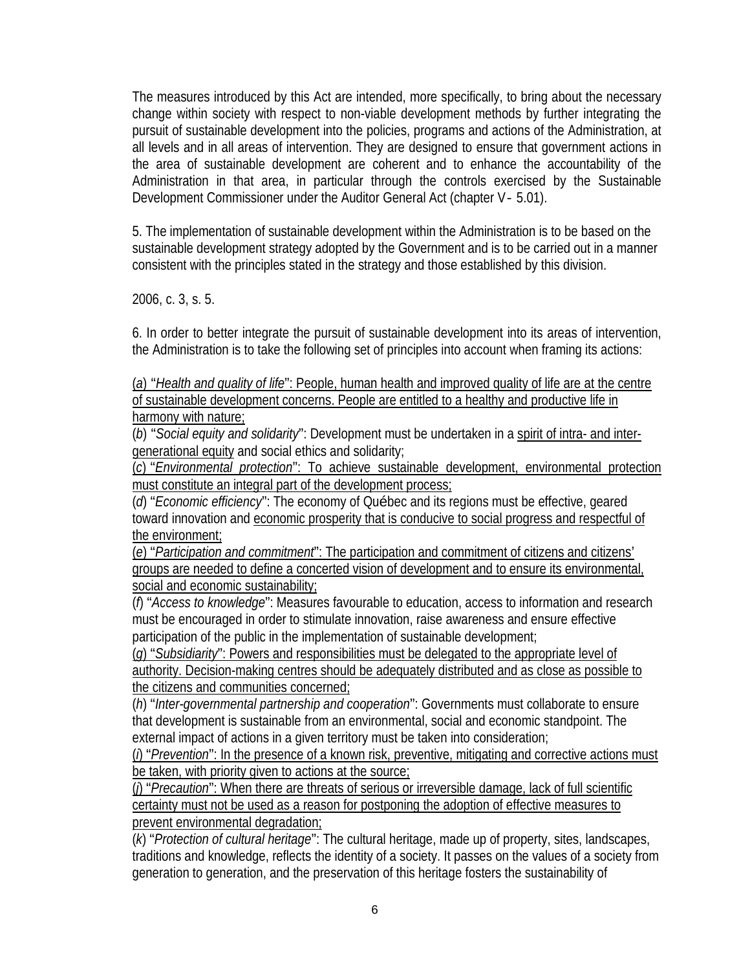The measures introduced by this Act are intended, more specifically, to bring about the necessary change within society with respect to non-viable development methods by further integrating the pursuit of sustainable development into the policies, programs and actions of the Administration, at all levels and in all areas of intervention. They are designed to ensure that government actions in the area of sustainable development are coherent and to enhance the accountability of the Administration in that area, in particular through the controls exercised by the Sustainable Development Commissioner under the Auditor General Act (chapter V‐ 5.01).

5. The implementation of sustainable development within the Administration is to be based on the sustainable development strategy adopted by the Government and is to be carried out in a manner consistent with the principles stated in the strategy and those established by this division.

2006, c. 3, s. 5.

6. In order to better integrate the pursuit of sustainable development into its areas of intervention, the Administration is to take the following set of principles into account when framing its actions:

(*a*) "*Health and quality of life*": People, human health and improved quality of life are at the centre of sustainable development concerns. People are entitled to a healthy and productive life in harmony with nature;

(*b*) "*Social equity and solidarity*": Development must be undertaken in a spirit of intra- and intergenerational equity and social ethics and solidarity;

(*c*) "*Environmental protection*": To achieve sustainable development, environmental protection must constitute an integral part of the development process;

(*d*) "*Economic efficiency*": The economy of Québec and its regions must be effective, geared toward innovation and economic prosperity that is conducive to social progress and respectful of the environment;

(*e*) "*Participation and commitment*": The participation and commitment of citizens and citizens' groups are needed to define a concerted vision of development and to ensure its environmental, social and economic sustainability;

(*f*) "*Access to knowledge*": Measures favourable to education, access to information and research must be encouraged in order to stimulate innovation, raise awareness and ensure effective participation of the public in the implementation of sustainable development;

(*g*) "*Subsidiarity*": Powers and responsibilities must be delegated to the appropriate level of authority. Decision-making centres should be adequately distributed and as close as possible to the citizens and communities concerned;

(*h*) "*Inter-governmental partnership and cooperation*": Governments must collaborate to ensure that development is sustainable from an environmental, social and economic standpoint. The external impact of actions in a given territory must be taken into consideration;

(*i*) "*Prevention*": In the presence of a known risk, preventive, mitigating and corrective actions must be taken, with priority given to actions at the source;

(*j*) "*Precaution*": When there are threats of serious or irreversible damage, lack of full scientific certainty must not be used as a reason for postponing the adoption of effective measures to prevent environmental degradation;

(*k*) "*Protection of cultural heritage*": The cultural heritage, made up of property, sites, landscapes, traditions and knowledge, reflects the identity of a society. It passes on the values of a society from generation to generation, and the preservation of this heritage fosters the sustainability of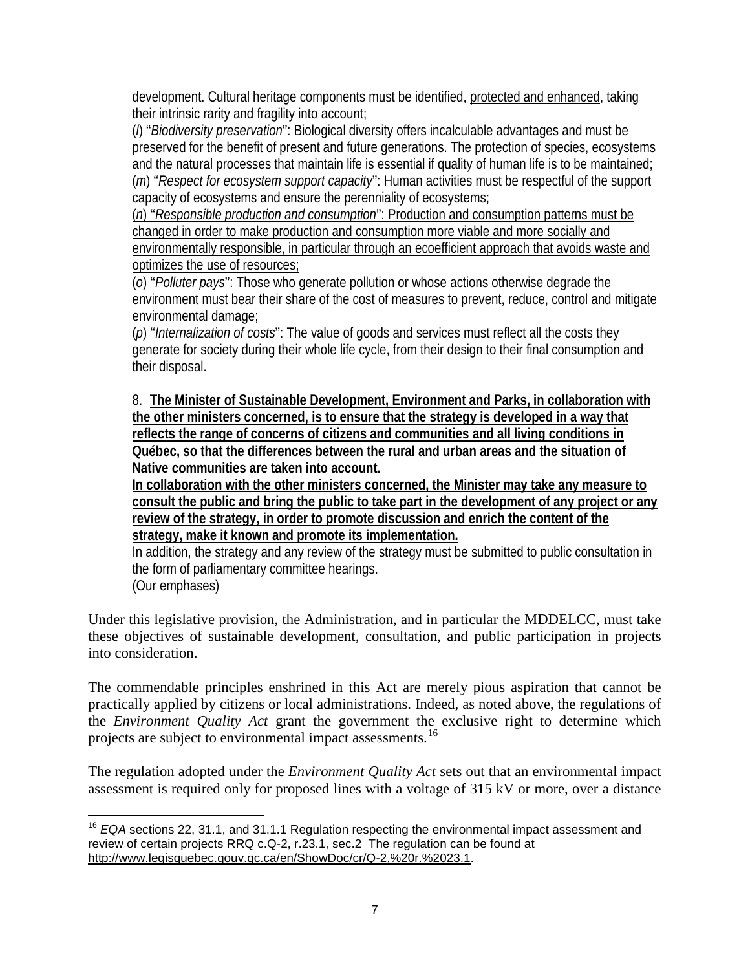development. Cultural heritage components must be identified, protected and enhanced, taking their intrinsic rarity and fragility into account;

(*l*) "*Biodiversity preservation*": Biological diversity offers incalculable advantages and must be preserved for the benefit of present and future generations. The protection of species, ecosystems and the natural processes that maintain life is essential if quality of human life is to be maintained; (*m*) "*Respect for ecosystem support capacity*": Human activities must be respectful of the support capacity of ecosystems and ensure the perenniality of ecosystems;

(*n*) "*Responsible production and consumption*": Production and consumption patterns must be changed in order to make production and consumption more viable and more socially and environmentally responsible, in particular through an ecoefficient approach that avoids waste and optimizes the use of resources;

(*o*) "*Polluter pays*": Those who generate pollution or whose actions otherwise degrade the environment must bear their share of the cost of measures to prevent, reduce, control and mitigate environmental damage;

(*p*) "*Internalization of costs*": The value of goods and services must reflect all the costs they generate for society during their whole life cycle, from their design to their final consumption and their disposal.

8. **The Minister of Sustainable Development, Environment and Parks, in collaboration with the other ministers concerned, is to ensure that the strategy is developed in a way that reflects the range of concerns of citizens and communities and all living conditions in Québec, so that the differences between the rural and urban areas and the situation of Native communities are taken into account.**

**In collaboration with the other ministers concerned, the Minister may take any measure to consult the public and bring the public to take part in the development of any project or any review of the strategy, in order to promote discussion and enrich the content of the strategy, make it known and promote its implementation.**

In addition, the strategy and any review of the strategy must be submitted to public consultation in the form of parliamentary committee hearings. (Our emphases)

Under this legislative provision, the Administration, and in particular the MDDELCC, must take these objectives of sustainable development, consultation, and public participation in projects into consideration.

The commendable principles enshrined in this Act are merely pious aspiration that cannot be practically applied by citizens or local administrations. Indeed, as noted above, the regulations of the *Environment Quality Act* grant the government the exclusive right to determine which projects are subject to environmental impact assessments.[16](#page-6-0)

The regulation adopted under the *Environment Quality Act* sets out that an environmental impact assessment is required only for proposed lines with a voltage of 315 kV or more, over a distance

<span id="page-6-0"></span><sup>16</sup> *EQA* sections 22, 31.1, and 31.1.1 Regulation respecting the environmental impact assessment and review of certain projects RRQ c.Q-2, r.23.1, sec.2 The regulation can be found at [http://www.legisquebec.gouv.qc.ca/en/ShowDoc/cr/Q-2,%20r.%2023.1.](http://www.legisquebec.gouv.qc.ca/en/ShowDoc/cr/Q-2,%20r.%2023.1)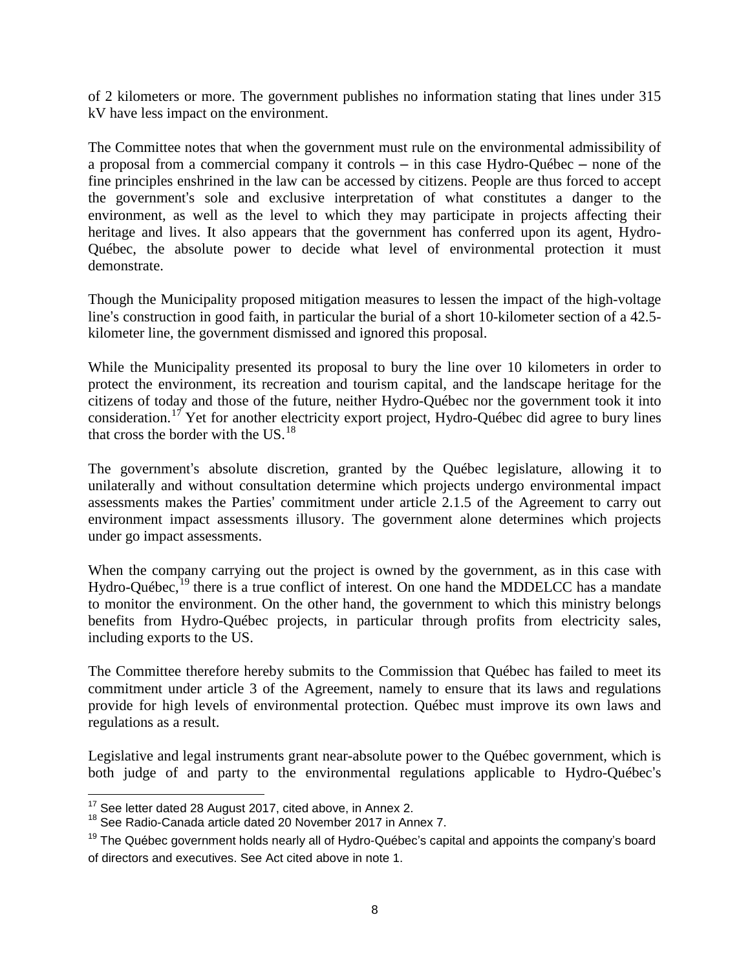of 2 kilometers or more. The government publishes no information stating that lines under 315 kV have less impact on the environment.

The Committee notes that when the government must rule on the environmental admissibility of a proposal from a commercial company it controls – in this case Hydro-Québec – none of the fine principles enshrined in the law can be accessed by citizens. People are thus forced to accept the government's sole and exclusive interpretation of what constitutes a danger to the environment, as well as the level to which they may participate in projects affecting their heritage and lives. It also appears that the government has conferred upon its agent, Hydro-Québec, the absolute power to decide what level of environmental protection it must demonstrate.

Though the Municipality proposed mitigation measures to lessen the impact of the high-voltage line's construction in good faith, in particular the burial of a short 10-kilometer section of a 42.5 kilometer line, the government dismissed and ignored this proposal.

While the Municipality presented its proposal to bury the line over 10 kilometers in order to protect the environment, its recreation and tourism capital, and the landscape heritage for the citizens of today and those of the future, neither Hydro-Québec nor the government took it into consideration.<sup>[17](#page-7-0)</sup> Yet for another electricity export project, Hydro-Québec did agree to bury lines that cross the border with the  $US.<sup>18</sup>$  $US.<sup>18</sup>$  $US.<sup>18</sup>$ 

The government's absolute discretion, granted by the Québec legislature, allowing it to unilaterally and without consultation determine which projects undergo environmental impact assessments makes the Parties' commitment under article 2.1.5 of the Agreement to carry out environment impact assessments illusory. The government alone determines which projects under go impact assessments.

When the company carrying out the project is owned by the government, as in this case with Hydro-Québec, <sup>[19](#page-7-2)</sup> there is a true conflict of interest. On one hand the MDDELCC has a mandate to monitor the environment. On the other hand, the government to which this ministry belongs benefits from Hydro-Québec projects, in particular through profits from electricity sales, including exports to the US.

The Committee therefore hereby submits to the Commission that Québec has failed to meet its commitment under article 3 of the Agreement, namely to ensure that its laws and regulations provide for high levels of environmental protection. Québec must improve its own laws and regulations as a result.

Legislative and legal instruments grant near-absolute power to the Québec government, which is both judge of and party to the environmental regulations applicable to Hydro-Québec's

<span id="page-7-0"></span> $17$  See letter dated 28 August 2017, cited above, in Annex 2.<br> $18$  See Radio-Canada article dated 20 November 2017 in Annex 7.

<span id="page-7-1"></span>

<span id="page-7-2"></span> $19$  The Québec government holds nearly all of Hydro-Québec's capital and appoints the company's board of directors and executives. See Act cited above in note 1.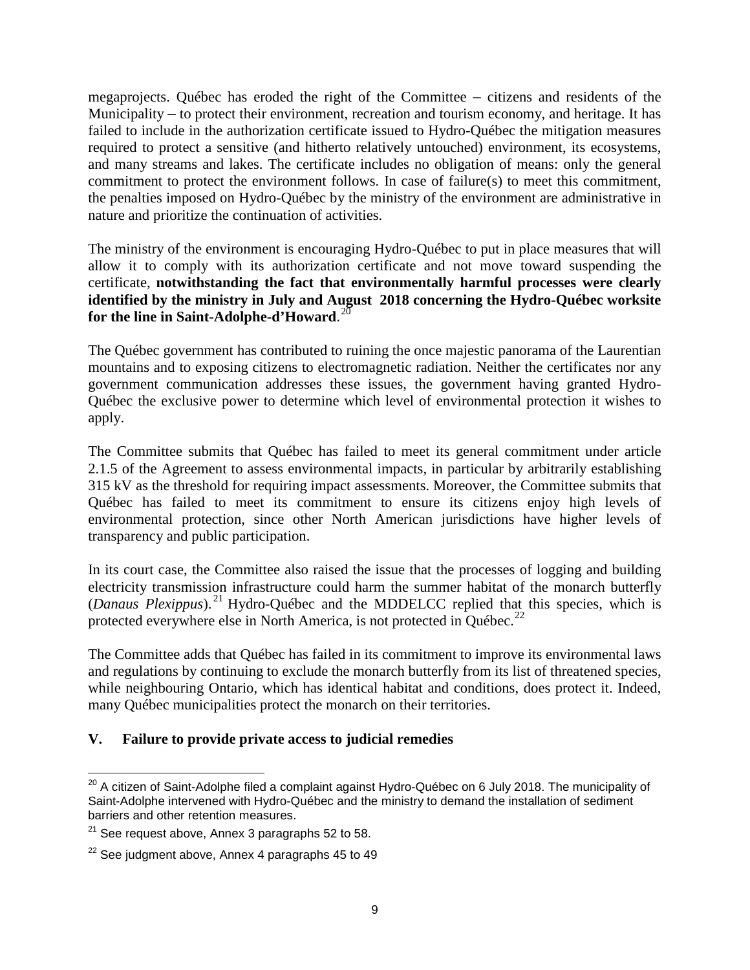megaprojects. Québec has eroded the right of the Committee – citizens and residents of the Municipality – to protect their environment, recreation and tourism economy, and heritage. It has failed to include in the authorization certificate issued to Hydro-Québec the mitigation measures required to protect a sensitive (and hitherto relatively untouched) environment, its ecosystems, and many streams and lakes. The certificate includes no obligation of means: only the general commitment to protect the environment follows. In case of failure(s) to meet this commitment, the penalties imposed on Hydro-Québec by the ministry of the environment are administrative in nature and prioritize the continuation of activities.

The ministry of the environment is encouraging Hydro-Québec to put in place measures that will allow it to comply with its authorization certificate and not move toward suspending the certificate, **notwithstanding the fact that environmentally harmful processes were clearly identified by the ministry in July and August 2018 concerning the Hydro-Québec worksite for the line in Saint-Adolphe-d'Howard**. [20](#page-8-0)

The Québec government has contributed to ruining the once majestic panorama of the Laurentian mountains and to exposing citizens to electromagnetic radiation. Neither the certificates nor any government communication addresses these issues, the government having granted Hydro-Québec the exclusive power to determine which level of environmental protection it wishes to apply.

The Committee submits that Québec has failed to meet its general commitment under article 2.1.5 of the Agreement to assess environmental impacts, in particular by arbitrarily establishing 315 kV as the threshold for requiring impact assessments. Moreover, the Committee submits that Québec has failed to meet its commitment to ensure its citizens enjoy high levels of environmental protection, since other North American jurisdictions have higher levels of transparency and public participation.

In its court case, the Committee also raised the issue that the processes of logging and building electricity transmission infrastructure could harm the summer habitat of the monarch butterfly (*Danaus Plexippus*). [21](#page-8-1) Hydro-Québec and the MDDELCC replied that this species, which is protected everywhere else in North America, is not protected in Québec.<sup>[22](#page-8-2)</sup>

The Committee adds that Québec has failed in its commitment to improve its environmental laws and regulations by continuing to exclude the monarch butterfly from its list of threatened species, while neighbouring Ontario, which has identical habitat and conditions, does protect it. Indeed, many Québec municipalities protect the monarch on their territories.

## **V. Failure to provide private access to judicial remedies**

<span id="page-8-0"></span> $20$  A citizen of Saint-Adolphe filed a complaint against Hydro-Québec on 6 July 2018. The municipality of Saint-Adolphe intervened with Hydro-Québec and the ministry to demand the installation of sediment barriers and other retention measures.

<span id="page-8-1"></span> $21$  See request above, Annex 3 paragraphs 52 to 58.

<span id="page-8-2"></span> $22$  See judgment above, Annex 4 paragraphs 45 to 49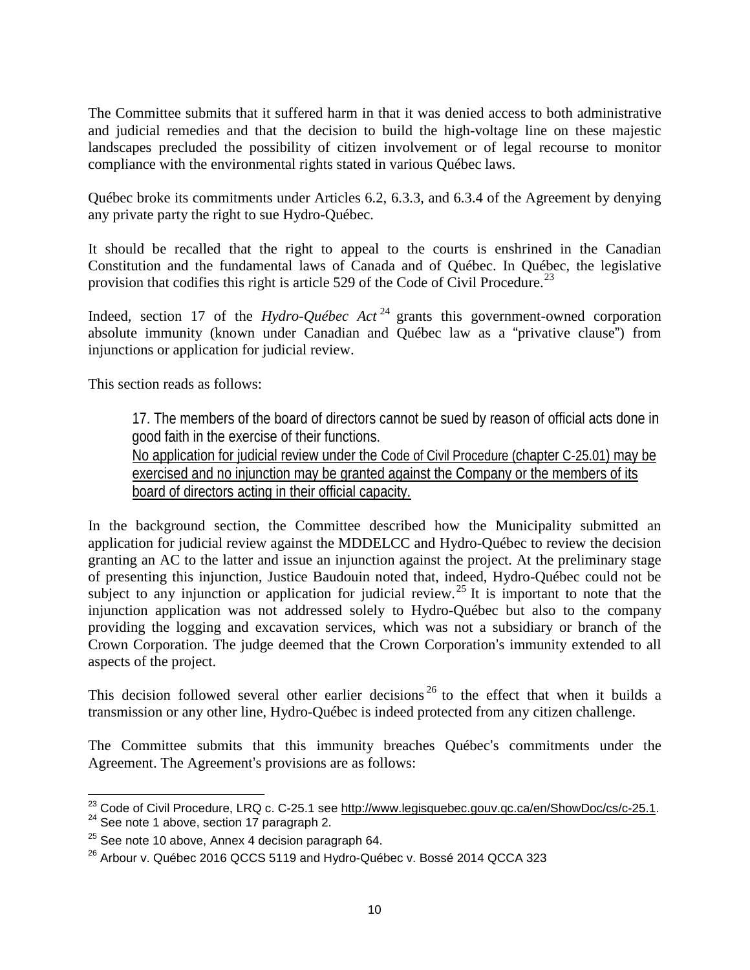The Committee submits that it suffered harm in that it was denied access to both administrative and judicial remedies and that the decision to build the high-voltage line on these majestic landscapes precluded the possibility of citizen involvement or of legal recourse to monitor compliance with the environmental rights stated in various Québec laws.

Québec broke its commitments under Articles 6.2, 6.3.3, and 6.3.4 of the Agreement by denying any private party the right to sue Hydro-Québec.

It should be recalled that the right to appeal to the courts is enshrined in the Canadian Constitution and the fundamental laws of Canada and of Québec. In Québec, the legislative provision that codifies this right is article 529 of the Code of Civil Procedure.<sup>[23](#page-9-0)</sup>

Indeed, section 17 of the *Hydro-Québec Act* [24](#page-9-1) grants this government-owned corporation absolute immunity (known under Canadian and Québec law as a "privative clause") from injunctions or application for judicial review.

This section reads as follows:

17. The members of the board of directors cannot be sued by reason of official acts done in good faith in the exercise of their functions.

No application for judicial review under the Code of Civil Procedure (chapter C-25.01) may be exercised and no injunction may be granted against the Company or the members of its board of directors acting in their official capacity.

In the background section, the Committee described how the Municipality submitted an application for judicial review against the MDDELCC and Hydro-Québec to review the decision granting an AC to the latter and issue an injunction against the project. At the preliminary stage of presenting this injunction, Justice Baudouin noted that, indeed, Hydro-Québec could not be subject to any injunction or application for judicial review.<sup>[25](#page-9-2)</sup> It is important to note that the injunction application was not addressed solely to Hydro-Québec but also to the company providing the logging and excavation services, which was not a subsidiary or branch of the Crown Corporation. The judge deemed that the Crown Corporation's immunity extended to all aspects of the project.

This decision followed several other earlier decisions<sup>[26](#page-9-3)</sup> to the effect that when it builds a transmission or any other line, Hydro-Québec is indeed protected from any citizen challenge.

The Committee submits that this immunity breaches Québec's commitments under the Agreement. The Agreement's provisions are as follows:

<span id="page-9-0"></span><sup>&</sup>lt;sup>23</sup> Code of Civil Procedure, LRQ c. C-25.1 see [http://www.legisquebec.gouv.qc.ca/en/ShowDoc/cs/c-25.1.](http://www.legisquebec.gouv.qc.ca/en/ShowDoc/cs/c-25.1)<br><sup>24</sup> See note 1 above, section 17 paragraph 2.

<span id="page-9-1"></span>

<span id="page-9-2"></span> $25$  See note 10 above, Annex 4 decision paragraph 64.

<span id="page-9-3"></span><sup>&</sup>lt;sup>26</sup> Arbour v. Québec 2016 QCCS 5119 and Hydro-Québec v. Bossé 2014 QCCA 323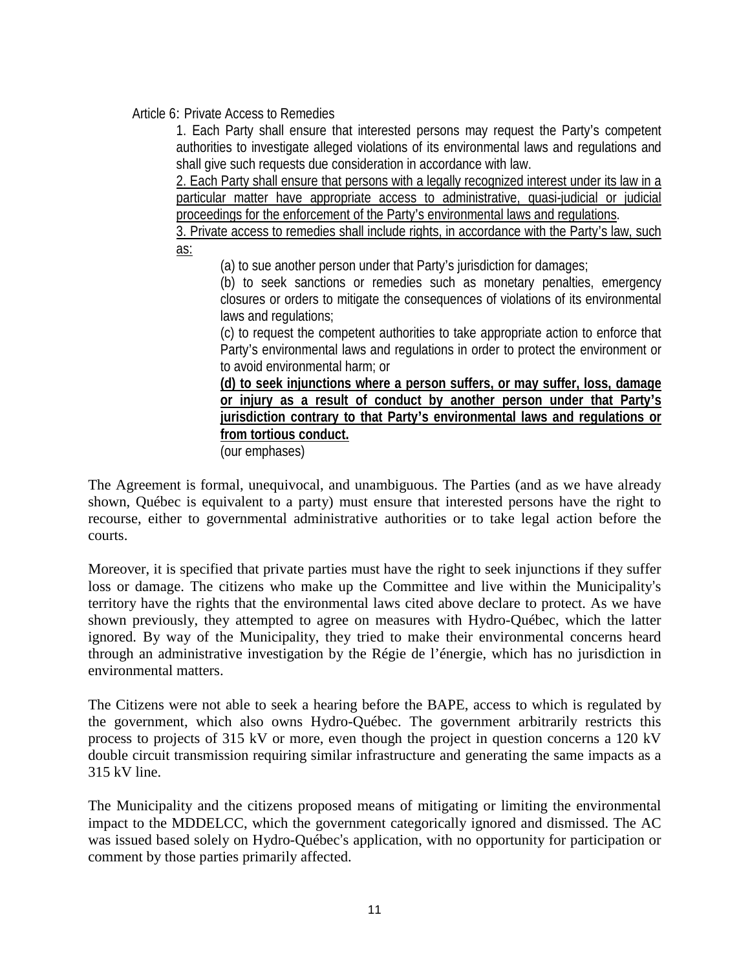Article 6: Private Access to Remedies

1. Each Party shall ensure that interested persons may request the Party's competent authorities to investigate alleged violations of its environmental laws and regulations and shall give such requests due consideration in accordance with law.

2. Each Party shall ensure that persons with a legally recognized interest under its law in a particular matter have appropriate access to administrative, quasi-judicial or judicial proceedings for the enforcement of the Party's environmental laws and regulations.

3. Private access to remedies shall include rights, in accordance with the Party's law, such as:

(a) to sue another person under that Party's jurisdiction for damages;

(b) to seek sanctions or remedies such as monetary penalties, emergency closures or orders to mitigate the consequences of violations of its environmental laws and regulations;

(c) to request the competent authorities to take appropriate action to enforce that Party's environmental laws and regulations in order to protect the environment or to avoid environmental harm; or

**(d) to seek injunctions where a person suffers, or may suffer, loss, damage or injury as a result of conduct by another person under that Party's jurisdiction contrary to that Party's environmental laws and regulations or from tortious conduct.**

(our emphases)

The Agreement is formal, unequivocal, and unambiguous. The Parties (and as we have already shown, Québec is equivalent to a party) must ensure that interested persons have the right to recourse, either to governmental administrative authorities or to take legal action before the courts.

Moreover, it is specified that private parties must have the right to seek injunctions if they suffer loss or damage. The citizens who make up the Committee and live within the Municipality's territory have the rights that the environmental laws cited above declare to protect. As we have shown previously, they attempted to agree on measures with Hydro-Québec, which the latter ignored. By way of the Municipality, they tried to make their environmental concerns heard through an administrative investigation by the Régie de l'énergie, which has no jurisdiction in environmental matters.

The Citizens were not able to seek a hearing before the BAPE, access to which is regulated by the government, which also owns Hydro-Québec. The government arbitrarily restricts this process to projects of 315 kV or more, even though the project in question concerns a 120 kV double circuit transmission requiring similar infrastructure and generating the same impacts as a 315 kV line.

The Municipality and the citizens proposed means of mitigating or limiting the environmental impact to the MDDELCC, which the government categorically ignored and dismissed. The AC was issued based solely on Hydro-Québec's application, with no opportunity for participation or comment by those parties primarily affected.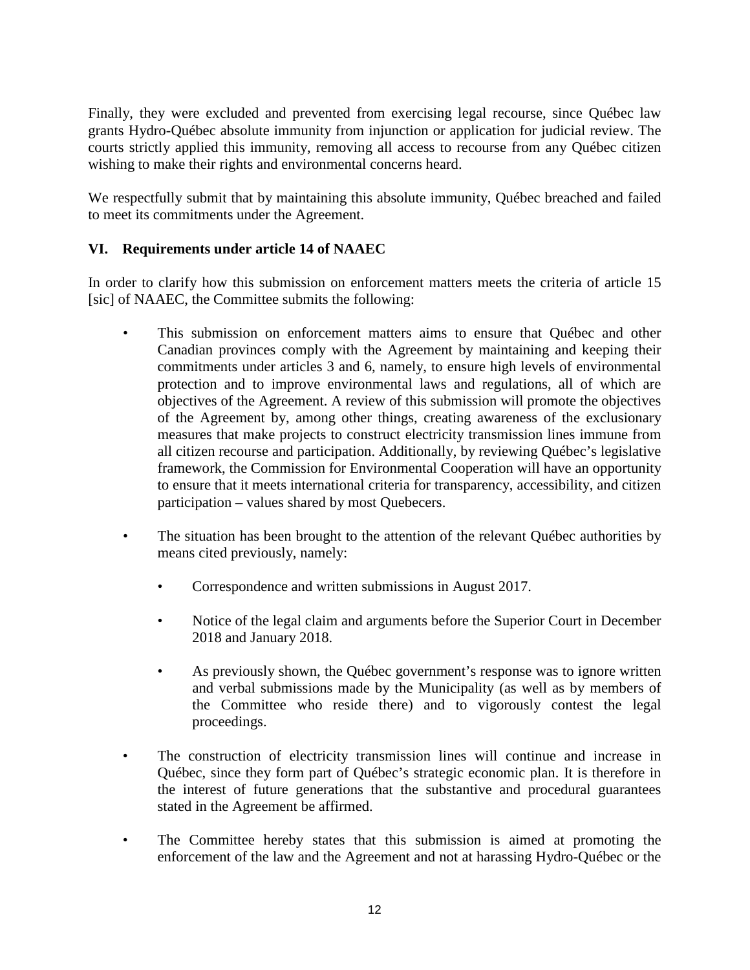Finally, they were excluded and prevented from exercising legal recourse, since Québec law grants Hydro-Québec absolute immunity from injunction or application for judicial review. The courts strictly applied this immunity, removing all access to recourse from any Québec citizen wishing to make their rights and environmental concerns heard.

We respectfully submit that by maintaining this absolute immunity, Québec breached and failed to meet its commitments under the Agreement.

## **VI. Requirements under article 14 of NAAEC**

In order to clarify how this submission on enforcement matters meets the criteria of article 15 [sic] of NAAEC, the Committee submits the following:

- This submission on enforcement matters aims to ensure that Québec and other Canadian provinces comply with the Agreement by maintaining and keeping their commitments under articles 3 and 6, namely, to ensure high levels of environmental protection and to improve environmental laws and regulations, all of which are objectives of the Agreement. A review of this submission will promote the objectives of the Agreement by, among other things, creating awareness of the exclusionary measures that make projects to construct electricity transmission lines immune from all citizen recourse and participation. Additionally, by reviewing Québec's legislative framework, the Commission for Environmental Cooperation will have an opportunity to ensure that it meets international criteria for transparency, accessibility, and citizen participation – values shared by most Quebecers.
- The situation has been brought to the attention of the relevant Québec authorities by means cited previously, namely:
	- Correspondence and written submissions in August 2017.
	- Notice of the legal claim and arguments before the Superior Court in December 2018 and January 2018.
	- As previously shown, the Québec government's response was to ignore written and verbal submissions made by the Municipality (as well as by members of the Committee who reside there) and to vigorously contest the legal proceedings.
- The construction of electricity transmission lines will continue and increase in Québec, since they form part of Québec's strategic economic plan. It is therefore in the interest of future generations that the substantive and procedural guarantees stated in the Agreement be affirmed.
- The Committee hereby states that this submission is aimed at promoting the enforcement of the law and the Agreement and not at harassing Hydro-Québec or the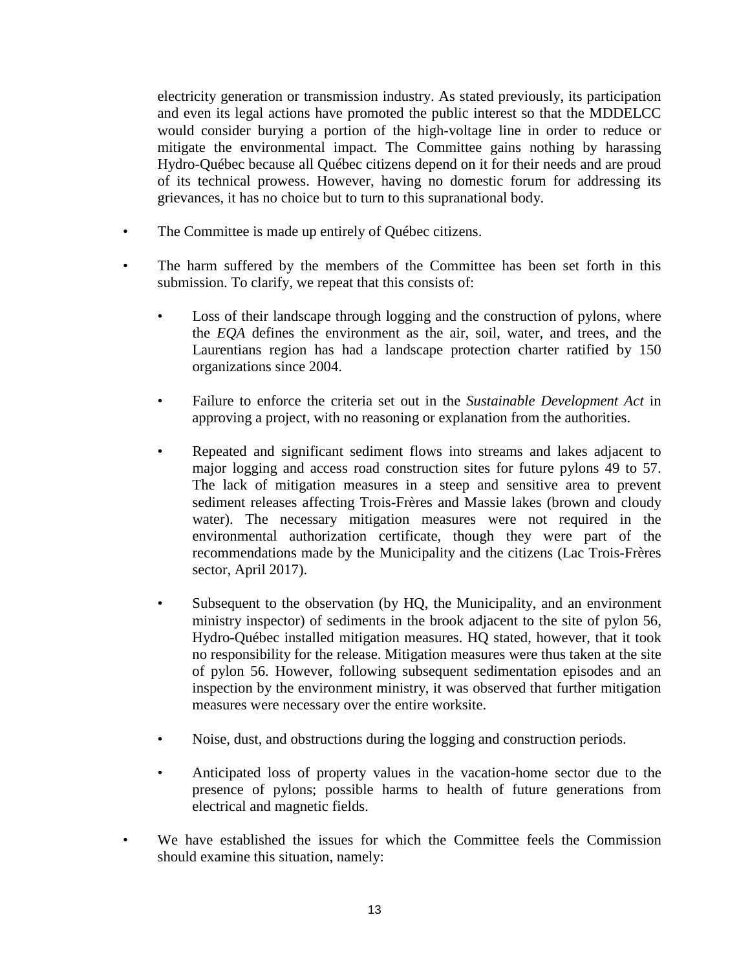electricity generation or transmission industry. As stated previously, its participation and even its legal actions have promoted the public interest so that the MDDELCC would consider burying a portion of the high-voltage line in order to reduce or mitigate the environmental impact. The Committee gains nothing by harassing Hydro-Québec because all Québec citizens depend on it for their needs and are proud of its technical prowess. However, having no domestic forum for addressing its grievances, it has no choice but to turn to this supranational body.

- The Committee is made up entirely of Québec citizens.
- The harm suffered by the members of the Committee has been set forth in this submission. To clarify, we repeat that this consists of:
	- Loss of their landscape through logging and the construction of pylons, where the *EQA* defines the environment as the air, soil, water, and trees, and the Laurentians region has had a landscape protection charter ratified by 150 organizations since 2004.
	- Failure to enforce the criteria set out in the *Sustainable Development Act* in approving a project, with no reasoning or explanation from the authorities.
	- Repeated and significant sediment flows into streams and lakes adjacent to major logging and access road construction sites for future pylons 49 to 57. The lack of mitigation measures in a steep and sensitive area to prevent sediment releases affecting Trois-Frères and Massie lakes (brown and cloudy water). The necessary mitigation measures were not required in the environmental authorization certificate, though they were part of the recommendations made by the Municipality and the citizens (Lac Trois-Frères sector, April 2017).
	- Subsequent to the observation (by HQ, the Municipality, and an environment ministry inspector) of sediments in the brook adjacent to the site of pylon 56, Hydro-Québec installed mitigation measures. HQ stated, however, that it took no responsibility for the release. Mitigation measures were thus taken at the site of pylon 56. However, following subsequent sedimentation episodes and an inspection by the environment ministry, it was observed that further mitigation measures were necessary over the entire worksite.
	- Noise, dust, and obstructions during the logging and construction periods.
	- Anticipated loss of property values in the vacation-home sector due to the presence of pylons; possible harms to health of future generations from electrical and magnetic fields.
- We have established the issues for which the Committee feels the Commission should examine this situation, namely: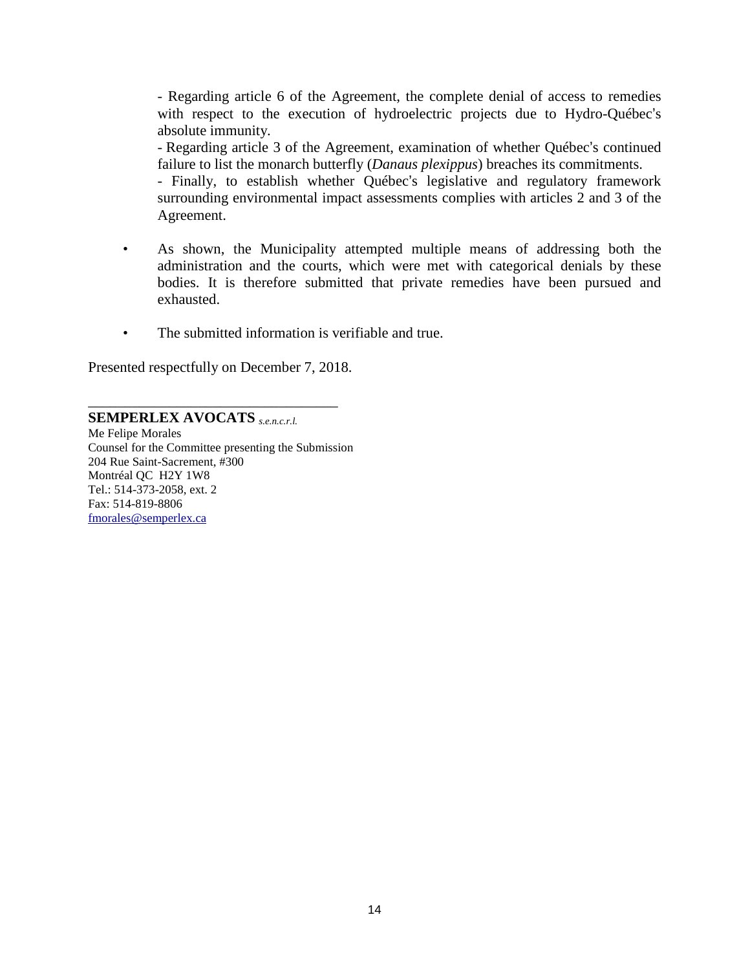- Regarding article 6 of the Agreement, the complete denial of access to remedies with respect to the execution of hydroelectric projects due to Hydro-Québec's absolute immunity.

- Regarding article 3 of the Agreement, examination of whether Québec's continued failure to list the monarch butterfly (*Danaus plexippus*) breaches its commitments.

- Finally, to establish whether Québec's legislative and regulatory framework surrounding environmental impact assessments complies with articles 2 and 3 of the Agreement.

- As shown, the Municipality attempted multiple means of addressing both the administration and the courts, which were met with categorical denials by these bodies. It is therefore submitted that private remedies have been pursued and exhausted.
- The submitted information is verifiable and true.

Presented respectfully on December 7, 2018.

\_\_\_\_\_\_\_\_\_\_\_\_\_\_\_\_\_\_\_\_\_\_\_\_\_\_\_\_\_\_\_\_\_\_

#### **SEMPERLEX AVOCATS** *s.e.n.c.r.l.*

Me Felipe Morales Counsel for the Committee presenting the Submission 204 Rue Saint-Sacrement, #300 Montréal QC H2Y 1W8 Tel.: 514-373-2058, ext. 2 Fax: 514-819-8806 [fmorales@semperlex.ca](mailto:fmorales@semperlex.ca)